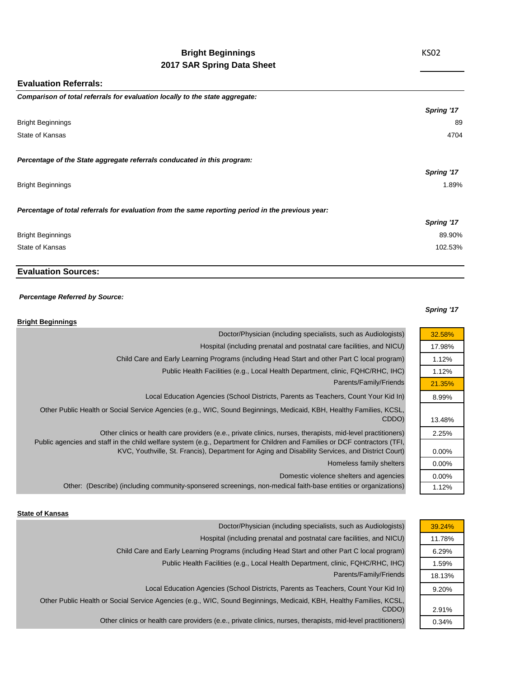# **Bright Beginnings 2017 SAR Spring Data Sheet**

### **Evaluation Referrals:**

| Comparison of total referrals for evaluation locally to the state aggregate:                      |            |
|---------------------------------------------------------------------------------------------------|------------|
|                                                                                                   | Spring '17 |
| <b>Bright Beginnings</b>                                                                          | 89         |
| State of Kansas                                                                                   | 4704       |
| Percentage of the State aggregate referrals conducated in this program:                           |            |
|                                                                                                   | Spring '17 |
| <b>Bright Beginnings</b>                                                                          | 1.89%      |
| Percentage of total referrals for evaluation from the same reporting period in the previous year: |            |
|                                                                                                   | Spring '17 |
| <b>Bright Beginnings</b>                                                                          | 89.90%     |
| State of Kansas                                                                                   | 102.53%    |
|                                                                                                   |            |

## **Evaluation Sources:**

### *Percentage Referred by Source:*

### **Bright Beginnings**

# Parents/Family/Friends Doctor/Physician (including specialists, such as Audiologists) Hospital (including prenatal and postnatal care facilities, and NICU) Child Care and Early Learning Programs (including Head Start and other Part C local program) Public Health Facilities (e.g., Local Health Department, clinic, FQHC/RHC, IHC) Local Education Agencies (School Districts, Parents as Teachers, Count Your Kid In) Other Public Health or Social Service Agencies (e.g., WIC, Sound Beginnings, Medicaid, KBH, Healthy Families, KCSL, CDDO) Other clinics or health care providers (e.e., private clinics, nurses, therapists, mid-level practitioners) Public agencies and staff in the child welfare system (e.g., Department for Children and Families or DCF contractors (TFI, KVC, Youthville, St. Francis), Department for Aging and Disability Services, and District Court) Homeless family shelters

Domestic violence shelters and agencies

Other: (Describe) (including community-sponsered screenings, non-medical faith-base entities or organizations)

### **State of Kansas**

| Doctor/Physician (including specialists, such as Audiologists)                                                      | 39.24% |
|---------------------------------------------------------------------------------------------------------------------|--------|
| Hospital (including prenatal and postnatal care facilities, and NICU)                                               | 11.78% |
| Child Care and Early Learning Programs (including Head Start and other Part C local program)                        | 6.29%  |
| Public Health Facilities (e.g., Local Health Department, clinic, FQHC/RHC, IHC)                                     | 1.59%  |
| Parents/Family/Friends                                                                                              | 18.13% |
| Local Education Agencies (School Districts, Parents as Teachers, Count Your Kid In)                                 | 9.20%  |
| Other Public Health or Social Service Agencies (e.g., WIC, Sound Beginnings, Medicaid, KBH, Healthy Families, KCSL, |        |
| CDDO)                                                                                                               | 2.91%  |
| Other clinics or health care providers (e.e., private clinics, nurses, therapists, mid-level practitioners)         | 0.34%  |

*Spring '17*

32.58% 17.98% 1.12% 1.12% 21.35% 8.99%

13.48% 2.25%

0.00% 0.00% 0.00% 1.12%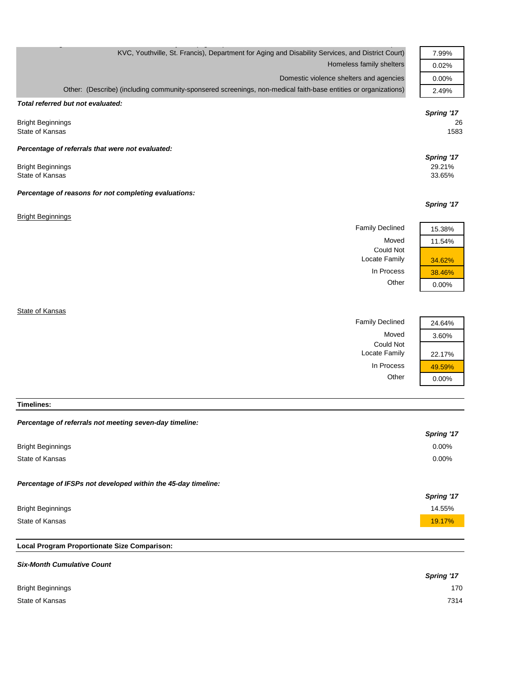| KVC, Youthville, St. Francis), Department for Aging and Disability Services, and District Court)                                                                                                                                             | 7.99%                                                      |
|----------------------------------------------------------------------------------------------------------------------------------------------------------------------------------------------------------------------------------------------|------------------------------------------------------------|
| Homeless family shelters                                                                                                                                                                                                                     | 0.02%                                                      |
| Domestic violence shelters and agencies                                                                                                                                                                                                      | 0.00%                                                      |
| Other: (Describe) (including community-sponsered screenings, non-medical faith-base entities or organizations)                                                                                                                               | 2.49%                                                      |
| Total referred but not evaluated:<br><b>Bright Beginnings</b><br>State of Kansas<br>Percentage of referrals that were not evaluated:<br><b>Bright Beginnings</b><br>State of Kansas<br>Percentage of reasons for not completing evaluations: | Spring '17<br>26<br>1583<br>Spring '17<br>29.21%<br>33.65% |
|                                                                                                                                                                                                                                              | Spring '17                                                 |
| <b>Bright Beginnings</b>                                                                                                                                                                                                                     |                                                            |
| <b>Family Declined</b>                                                                                                                                                                                                                       | 15.38%                                                     |
| Moved                                                                                                                                                                                                                                        | 11.54%                                                     |
| <b>Could Not</b><br>Locate Family                                                                                                                                                                                                            | 34.62%                                                     |
| In Process                                                                                                                                                                                                                                   | 38.46%                                                     |
| Other                                                                                                                                                                                                                                        | 0.00%                                                      |
| State of Kansas<br><b>Family Declined</b><br>Moved                                                                                                                                                                                           | 24.64%<br>3.60%                                            |
|                                                                                                                                                                                                                                              |                                                            |

**Timelines:**

## *Percentage of referrals not meeting seven-day timeline:*

|                                                               | Spring '17 |
|---------------------------------------------------------------|------------|
| <b>Bright Beginnings</b>                                      | 0.00%      |
| State of Kansas                                               | 0.00%      |
| Percentage of IFSPs not developed within the 45-day timeline: | Spring '17 |
| <b>Bright Beginnings</b>                                      | 14.55%     |
| State of Kansas                                               | 19.17%     |
|                                                               |            |

Could Not

Locate Family 22.17%

In Process  $\frac{49.59\%}{0.00\%}$ 

 $0.00%$ 

# **Local Program Proportionate Size Comparison:**

| <b>Six-Month Cumulative Count</b> |            |
|-----------------------------------|------------|
|                                   | Spring '17 |
| <b>Bright Beginnings</b>          | 170        |
| State of Kansas                   | 7314       |